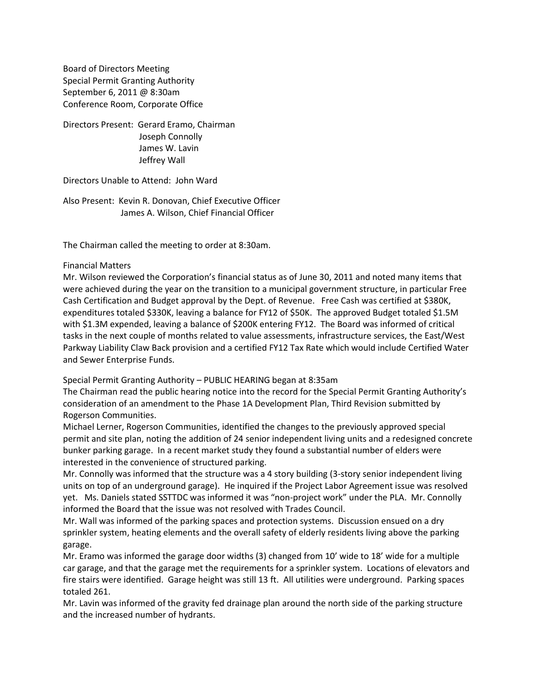Board of Directors Meeting Special Permit Granting Authority September 6, 2011 @ 8:30am Conference Room, Corporate Office

Directors Present: Gerard Eramo, Chairman Joseph Connolly James W. Lavin Jeffrey Wall

Directors Unable to Attend: John Ward

Also Present: Kevin R. Donovan, Chief Executive Officer James A. Wilson, Chief Financial Officer

The Chairman called the meeting to order at 8:30am.

### Financial Matters

Mr. Wilson reviewed the Corporation's financial status as of June 30, 2011 and noted many items that were achieved during the year on the transition to a municipal government structure, in particular Free Cash Certification and Budget approval by the Dept. of Revenue. Free Cash was certified at \$380K, expenditures totaled \$330K, leaving a balance for FY12 of \$50K. The approved Budget totaled \$1.5M with \$1.3M expended, leaving a balance of \$200K entering FY12. The Board was informed of critical tasks in the next couple of months related to value assessments, infrastructure services, the East/West Parkway Liability Claw Back provision and a certified FY12 Tax Rate which would include Certified Water and Sewer Enterprise Funds.

Special Permit Granting Authority – PUBLIC HEARING began at 8:35am

The Chairman read the public hearing notice into the record for the Special Permit Granting Authority's consideration of an amendment to the Phase 1A Development Plan, Third Revision submitted by Rogerson Communities.

Michael Lerner, Rogerson Communities, identified the changes to the previously approved special permit and site plan, noting the addition of 24 senior independent living units and a redesigned concrete bunker parking garage. In a recent market study they found a substantial number of elders were interested in the convenience of structured parking.

Mr. Connolly was informed that the structure was a 4 story building (3-story senior independent living units on top of an underground garage). He inquired if the Project Labor Agreement issue was resolved yet. Ms. Daniels stated SSTTDC was informed it was "non-project work" under the PLA. Mr. Connolly informed the Board that the issue was not resolved with Trades Council.

Mr. Wall was informed of the parking spaces and protection systems. Discussion ensued on a dry sprinkler system, heating elements and the overall safety of elderly residents living above the parking garage.

Mr. Eramo was informed the garage door widths (3) changed from 10' wide to 18' wide for a multiple car garage, and that the garage met the requirements for a sprinkler system. Locations of elevators and fire stairs were identified. Garage height was still 13 ft. All utilities were underground. Parking spaces totaled 261.

Mr. Lavin was informed of the gravity fed drainage plan around the north side of the parking structure and the increased number of hydrants.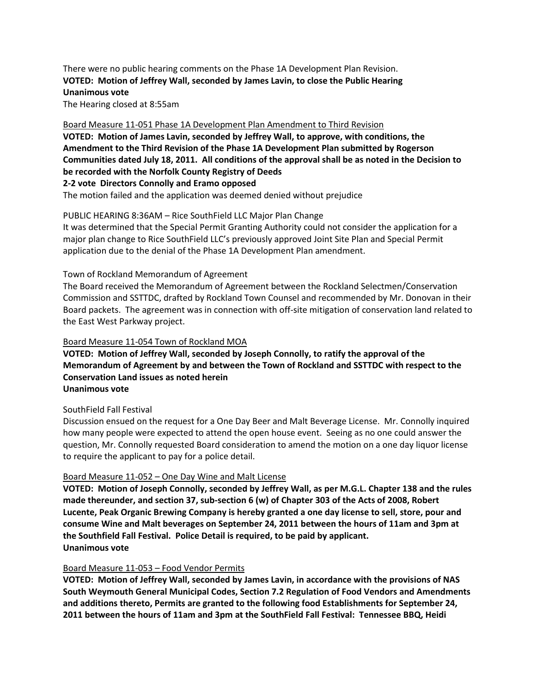# There were no public hearing comments on the Phase 1A Development Plan Revision. **VOTED: Motion of Jeffrey Wall, seconded by James Lavin, to close the Public Hearing Unanimous vote**

The Hearing closed at 8:55am

#### Board Measure 11-051 Phase 1A Development Plan Amendment to Third Revision

**VOTED: Motion of James Lavin, seconded by Jeffrey Wall, to approve, with conditions, the Amendment to the Third Revision of the Phase 1A Development Plan submitted by Rogerson Communities dated July 18, 2011. All conditions of the approval shall be as noted in the Decision to be recorded with the Norfolk County Registry of Deeds**

## **2-2 vote Directors Connolly and Eramo opposed**

The motion failed and the application was deemed denied without prejudice

## PUBLIC HEARING 8:36AM – Rice SouthField LLC Major Plan Change

It was determined that the Special Permit Granting Authority could not consider the application for a major plan change to Rice SouthField LLC's previously approved Joint Site Plan and Special Permit application due to the denial of the Phase 1A Development Plan amendment.

### Town of Rockland Memorandum of Agreement

The Board received the Memorandum of Agreement between the Rockland Selectmen/Conservation Commission and SSTTDC, drafted by Rockland Town Counsel and recommended by Mr. Donovan in their Board packets. The agreement was in connection with off-site mitigation of conservation land related to the East West Parkway project.

#### Board Measure 11-054 Town of Rockland MOA

## **VOTED: Motion of Jeffrey Wall, seconded by Joseph Connolly, to ratify the approval of the Memorandum of Agreement by and between the Town of Rockland and SSTTDC with respect to the Conservation Land issues as noted herein Unanimous vote**

#### SouthField Fall Festival

Discussion ensued on the request for a One Day Beer and Malt Beverage License. Mr. Connolly inquired how many people were expected to attend the open house event. Seeing as no one could answer the question, Mr. Connolly requested Board consideration to amend the motion on a one day liquor license to require the applicant to pay for a police detail.

## Board Measure 11-052 – One Day Wine and Malt License

**VOTED: Motion of Joseph Connolly, seconded by Jeffrey Wall, as per M.G.L. Chapter 138 and the rules made thereunder, and section 37, sub-section 6 (w) of Chapter 303 of the Acts of 2008, Robert Lucente, Peak Organic Brewing Company is hereby granted a one day license to sell, store, pour and consume Wine and Malt beverages on September 24, 2011 between the hours of 11am and 3pm at the Southfield Fall Festival. Police Detail is required, to be paid by applicant. Unanimous vote**

## Board Measure 11-053 – Food Vendor Permits

**VOTED: Motion of Jeffrey Wall, seconded by James Lavin, in accordance with the provisions of NAS South Weymouth General Municipal Codes, Section 7.2 Regulation of Food Vendors and Amendments and additions thereto, Permits are granted to the following food Establishments for September 24, 2011 between the hours of 11am and 3pm at the SouthField Fall Festival: Tennessee BBQ, Heidi**